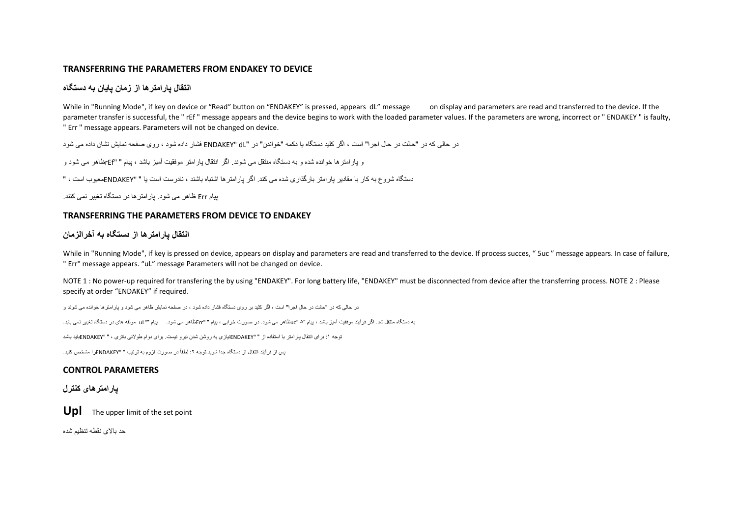#### **TRANSFERRING THE PARAMETERS FROM ENDAKEY TO DEVICE**

## **انتقال پارامترها از زمان پایان به دستگاه**

While in "Running Mode", if key on device or "Read" button on "ENDAKEY" is pressed, appears dL" message on display and parameters are read and transferred to the device. If the parameter transfer is successful, the "rEf " message appears and the device begins to work with the loaded parameter values. If the parameters are wrong, incorrect or " ENDAKEY " is faulty, " Err " message appears. Parameters will not be changed on device.

در حالی که در "حالت در حال اجرا" است ، اگر کلید دستگاه یا دکمه "خواندن" در "dL" ENDAKEY فشار داده شود ، روی صفحه نمایش نشان داده می شود

و پارامترها خوانده شده و به دستگاه منتقل می شوند. اگر انتقال پارامتر موفقیت آمیز باشد ، پیام " "rEfظاهر می شود و

دستگاه شروع به کار با مقادیر پارامتر بارگذاری شده می کند. اگر پارامترها اشتباه باشند ، نادرست است یا " "ENDAKEYمعیوب است ، "

پیام Err ظاهر می شود. پارامترها در دستگاه تغییر نمی کنند.

#### **TRANSFERRING THE PARAMETERS FROM DEVICE TO ENDAKEY**

#### **انتقال پارامترها از دستگاه به آخرالزمان**

While in "Running Mode", if key is pressed on device, appears on display and parameters are read and transferred to the device. If process succes, " Suc " message appears. In case of failure, " Err" message appears. "uL" message Parameters will not be changed on device.

NOTE 1: No power-up required for transfering the by using "ENDAKEY". For long battery life, "ENDAKEY" must be disconnected from device after the transferring process. NOTE 2 : Please specify at order "ENDAKEY" if required.

در حالی که در "حالت در حال اجرا" است ، اگر کلید بر روی دستگاه فشار داده شود ، در صفحه نمایش ظاهر می شود و پارامترها خوانده می شوند و

به دستگاه منتقل شد. اگر فرآیند موفقیت آمیز باشد ، پیام "5 "ucظاهر می شود. در صورت خرابی ، پیام " "Errظاهر می شود. پیام ""uL مولفه های در دستگاه تغییر نمی یابد.

توجه :1 برای انتقال پارامتر با استفاده از " "ENDAKEYنیازی به روشن شدن نیرو نیست. برای دوام طوالنی باتری ، " "ENDAKEYباید باشد

لس از فرآیند انتقال از دستگاه جدا شوید توجه ۲۰ لطفاً در صورت لزوم به ترتیب " "FNDAKFYرا مشخص کنید.

#### **CONTROL PARAMETERS**

#### **پارامترهای کنترل**

**Upl** The upper limit of the set point

حد باالی نقطه تنظیم شده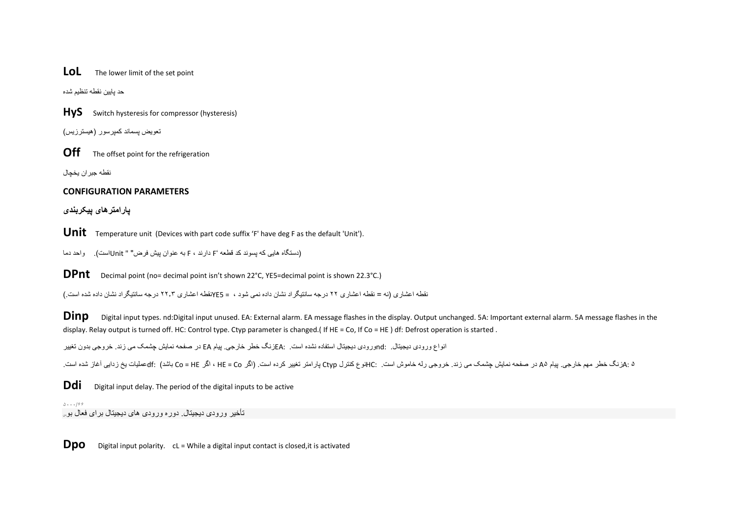## **LOL** The lower limit of the set point

حد پایین نقطه تنظیم شده

**HyS** Switch hysteresis for compressor (hysteresis)

تعویض پسماند کمپرسور )هیسترزیس(

**Off** The offset point for the refrigeration

نقطه جبر ان یخچال

### **CONFIGURATION PARAMETERS**

**پارامترهای پیکربندی**

Unit Temperature unit (Devices with part code suffix 'F' have deg F as the default 'Unit').

)دستگاه هایی که پسوند کد قطعه 'F دارند ، F به عنوان پیش فرض" " Unitاست(. واحد دما

**DPnt** Decimal point (no= decimal point isn't shown 22°C, YE5=decimal point is shown 22.3°C.)

نقطه اعشاری )نه = نقطه اعشاری 22 درجه سانتیگراد نشان داده نمی شود ، = 5YEنقطه اعشاری 22.3 درجه سانتیگراد نشان داده شده است.(

**Dinp** Digital input types. nd:Digital input unused. EA: External alarm. EA message flashes in the display. Output unchanged. 5A: Important external alarm. 5A message flashes in the display. Relay output is turned off. HC: Control type. Ctyp parameter is changed.( If HE = Co, If Co = HE ) df: Defrost operation is started .

انواع ورودی دیجیتال. :ndورودی دیجیتال استفاده نشده است. :EAزنگ خطر خارجی. پیام EA در صفحه نمایش چشمک می زند. خروجی بدون تغییر

5 :Aزنگ خطر مهم خارجی. پیام 5A در صفحه نمایش چشمک می زند. خروجی رله خاموش است. :HCنوع کنترل Ctyp پارامتر تغییر کرده است. )اگر Co = HE ، اگر HE = Co باشد( :dfعملیات یخ زدایی آغاز شده است.

**Ddi** Digital input delay. The period of the digital inputs to be active

5۰۰۰/۶۶ تأخیر ورودی دیجیتال. دوره ورودی های دیجیتال برای فعال بودن

**Dpo** Digital input polarity. cL = While a digital input contact is closed, it is activated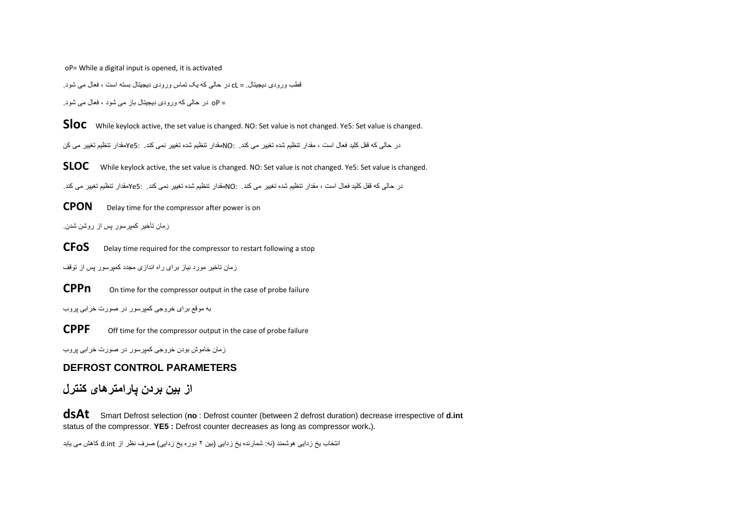oP= While a digital input is opened, it is activated

قطب ورودی دیجیتال. = cL در حالی که یک تماس ورودی دیجیتال بسته است ، فعال می شود.

= oP در حالی که ورودی دیجیتال باز می شود ، فعال می شود.

**Sloc** While keylock active, the set value is changed. NO: Set value is not changed. Ye5: Set value is changed.

در حالی که قفل کلید فعال است ، مقدار تنظیم شده تغییر می کند. :NOمقدار تنظیم شده تغییر نمی کند. 5:Yeمقدار تنظیم تغییر می کن

**SLOC** While keylock active, the set value is changed. NO: Set value is not changed. Ye5: Set value is changed.

در حالی که قفل کلید فعال است ، مقدار تنظیم شده تغییر می کند. :NOمقدار تنظیم شده تغییر نمی کند. 5:Yeمقدار تنظیم تغییر می کند.

**CPON** Delay time for the compressor after power is on

زمان تأخیر کمپرسور پس از روشن شدن.

**CFOS** Delay time required for the compressor to restart following a stop

زمان تاخیر مورد نیاز برای راه اندازی مجدد کمپرسور پس از توقف

**CPPn** On time for the compressor output in the case of probe failure

به موقع برای خروجی کمپرسور در صورت خرابی پروب

**CPPF** Off time for the compressor output in the case of probe failure

زمان خاموش بودن خروجی کمپرسور در صورت خرابی پروب

## **DEFROST CONTROL PARAMETERS**

## **از بین بردن پارامترهای کنترل**

**dsAt** Smart Defrost selection (**no** : Defrost counter (between 2 defrost duration) decrease irrespective of **d.int** status of the compressor. **YE5 :** Defrost counter decreases as long as compressor work**.**).

انتخاب یخ ز دایی هو شمند (نه: شمار نده یخ ز دایی (بین ۲ دور ه یخ ز دایی) صر ف نظر از d.jnt کاهش می یابد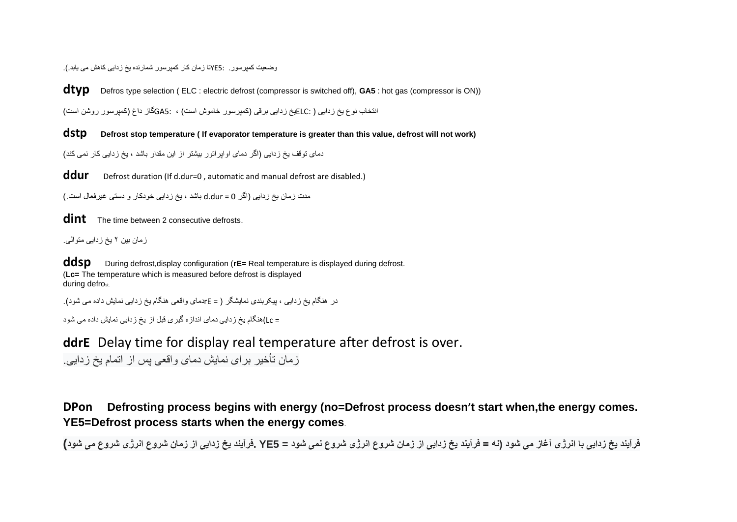وضعیت کمپرسور. 5:YEتا زمان کار کمپرسور شمارنده یخ زدایی کاهش می یابد.(.

**dtyp** Defros type selection ( ELC : electric defrost (compressor is switched off), **GA5** : hot gas (compressor is ON))

انتخاب نوع یخ زدایی ( :ELCیخ زدایی برقی (کمپرسور خاموش است) ، :GA5گاز داغ (کمپرسور روشن است)

**dstp Defrost stop temperature ( If evaporator temperature is greater than this value, defrost will not work)**

دمای توقف یخ زدایی )اگر دمای اواپراتور بیشتر از این مقدار باشد ، یخ زدایی کار نمی کند(

**ddur** Defrost duration (If d.dur=0 , automatic and manual defrost are disabled.)

مدت زمان یخ زدایی (اگر d.dur = 0 باشد ، یخ زدایی خودکار و دستی غیرفعال است.)

**dint** The time between 2 consecutive defrosts.

زمان بین 2 یخ زدایی متوالی.

**ddsp** During defrost, display configuration (**rE**= Real temperature is displayed during defrost. (**Lc=** The temperature which is measured before defrost is displayed during defrost.

در هنگام یخ زدایی ، پیکربندی نمایشگر ) = rEدمای واقعی هنگام یخ زدایی نمایش داده می شود(.

= Lc(هنگام یخ زدایی دمای اندازه گیری قبل از یخ زدایی نمایش داده می شود

**ddrE** Delay time for display real temperature after defrost is over.

زمان تأخیر برای نمایش دمای واقعی پس از اتمام یخ زدایی.

**DPon Defrosting process begins with energy (no=Defrost process doesn't start when,the energy comes. YE5=Defrost process starts when the energy comes**.

**فرآیند یخ زدایی با انرژی آغاز می شود )نه = فرآیند یخ زدایی از زمان شروع انرژی شروع نمی شود = 5YE .فرآیند یخ زدایی از زمان شروع انرژی شروع می شود)**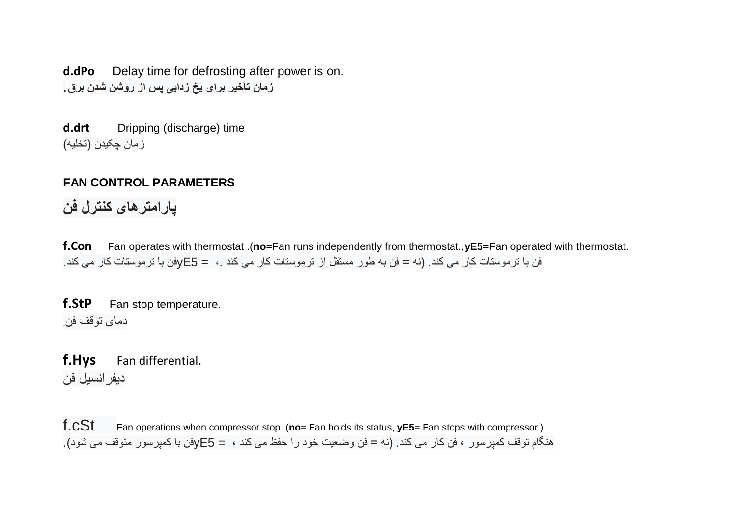**d.dPo** Delay time for defrosting after power is on. **زمان تأخیر برای یخ زدایی پس از روشن شدن برق.**

**d.drt** Dripping (discharge) time ز مان چکیدن (تخلیه)

# **FAN CONTROL PARAMETERS**

**پارامترهای کنترل فن**

**f.Con** Fan operates with thermostat .(**no**=Fan runs independently from thermostat.,**yE5**=Fan operated with thermostat. فن با ترموستات کار می کند. )نه = فن به طور مستقل از ترموستات کار می کند ،. = 5yEفن با ترموستات کار می کند.

**f.StP** Fan stop temperature. دمای توقف فن.

**f.Hys** Fan differential. دیفرانسیل فن

f.cSt Fan operations when compressor stop. (**no**= Fan holds its status, **yE5**= Fan stops with compressor.) هنگام توقف کمپرسور ، فن کار می کند. )نه = فن وضعیت خود را حفظ می کند ، = 5yEفن با کمپرسور متوقف می شود).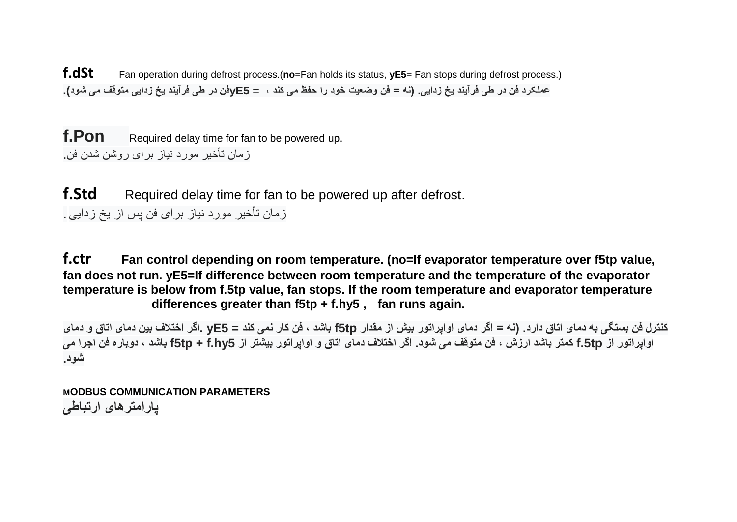**f.dSt** Fan operation during defrost process.(**no**=Fan holds its status, **yE5**= Fan stops during defrost process.) **عملکرد فن در طی فرآیند یخ زدایی. )نه = فن وضعیت خود را حفظ می کند ، = 5yEفن در طی فرآیند یخ زدایی متوقف می شود).**

**f.Pon** Required delay time for fan to be powered up. زمان تأخیر مورد نیاز برای روشن شدن فن.

**f.Std** Required delay time for fan to be powered up after defrost. زمان تأخیر مورد نیاز برای فن پس از یخ زدایی.

**f.ctr Fan control depending on room temperature. (no=If evaporator temperature over f5tp value, fan does not run. yE5=If difference between room temperature and the temperature of the evaporator temperature is below from f.5tp value, fan stops. If the room temperature and evaporator temperature differences greater than f5tp + f.hy5 , fan runs again.** 

**کنترل فن بستگی به دمای اتاق دارد. )نه = اگر دمای اواپراتور بیش از مقدار tp5f باشد ، فن کار نمی کند = 5yE .اگر اختالف بین دمای اتاق و دمای اواپراتور از tp.5f کمتر باشد ارزش ، فن متوقف می شود. اگر اختالف دمای اتاق و اواپراتور بیشتر از 5hy.f + tp5f باشد ، دوباره فن اجرا می شود.**

**MODBUS COMMUNICATION PARAMETERS پارامترهای ارتباطی**